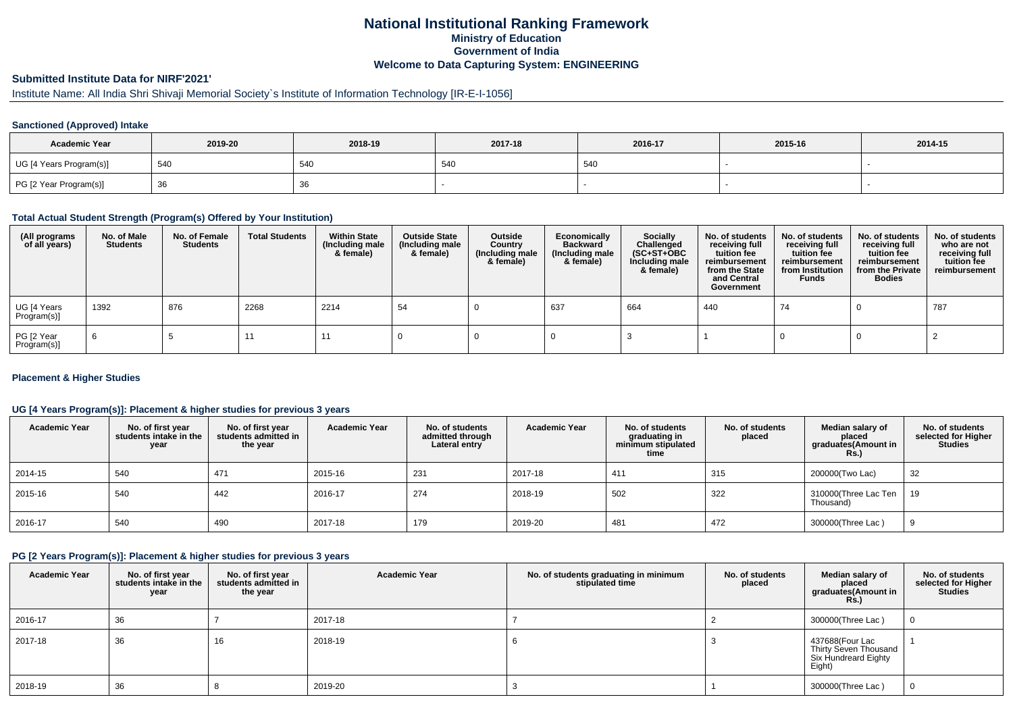## **National Institutional Ranking FrameworkMinistry of Education Government of IndiaWelcome to Data Capturing System: ENGINEERING**

# **Submitted Institute Data for NIRF'2021'**

# Institute Name: All India Shri Shivaji Memorial Society`s Institute of Information Technology [IR-E-I-1056]

### **Sanctioned (Approved) Intake**

| <b>Academic Year</b>    | 2019-20 | 2018-19 | 2017-18 | 2016-17 | 2015-16 | 2014-15 |
|-------------------------|---------|---------|---------|---------|---------|---------|
| UG [4 Years Program(s)] | 540     | 54C     | 540     | 540     |         |         |
| PG [2 Year Program(s)]  | ັບບ     | 36      |         |         |         |         |

#### **Total Actual Student Strength (Program(s) Offered by Your Institution)**

| (All programs<br>of all years) | No. of Male<br><b>Students</b> | No. of Female<br>Students | <b>Total Students</b> | <b>Within State</b><br>(Including male<br>& female) | <b>Outside State</b><br>(Including male<br>& female) | Outside<br>Country<br>(Including male<br>& female) | Economically<br><b>Backward</b><br>(Including male<br>& female) | <b>Socially</b><br>Challenged<br>$(SC+ST+OBC)$<br>Including male<br>& female) | No. of students<br>receiving full<br>tuition fee<br>reimbursement<br>from the State<br>and Central<br>Government | No. of students<br>receiving full<br>tuition fee<br>reimbursement<br>from Institution<br><b>Funds</b> | No. of students<br>receiving full<br>tuition fee<br>reimbursement<br>from the Private<br><b>Bodies</b> | No. of students<br>who are not<br>receiving full<br>tuition fee<br>reimbursement |
|--------------------------------|--------------------------------|---------------------------|-----------------------|-----------------------------------------------------|------------------------------------------------------|----------------------------------------------------|-----------------------------------------------------------------|-------------------------------------------------------------------------------|------------------------------------------------------------------------------------------------------------------|-------------------------------------------------------------------------------------------------------|--------------------------------------------------------------------------------------------------------|----------------------------------------------------------------------------------|
| UG [4 Years<br>Program(s)]     | 1392                           | 876                       | 2268                  | 2214                                                | -54                                                  |                                                    | 637                                                             | 664                                                                           | 440                                                                                                              | 74                                                                                                    |                                                                                                        | 787                                                                              |
| PG [2 Year<br>Program(s)]      | 6                              |                           |                       | -11                                                 |                                                      |                                                    |                                                                 |                                                                               |                                                                                                                  |                                                                                                       |                                                                                                        |                                                                                  |

### **Placement & Higher Studies**

### **UG [4 Years Program(s)]: Placement & higher studies for previous 3 years**

| <b>Academic Year</b> | No. of first year<br>students intake in the<br>year | No. of first vear<br>students admitted in<br>the year | <b>Academic Year</b> | No. of students<br>admitted through<br>Lateral entry | <b>Academic Year</b> | No. of students<br>graduating in<br>minimum stipulated<br>time | No. of students<br>placed | Median salary of<br>placed<br>graduates(Amount in<br><b>Rs.)</b> | No. of students<br>selected for Higher<br>Studies |
|----------------------|-----------------------------------------------------|-------------------------------------------------------|----------------------|------------------------------------------------------|----------------------|----------------------------------------------------------------|---------------------------|------------------------------------------------------------------|---------------------------------------------------|
| 2014-15              | 540                                                 | 471                                                   | 2015-16              | 231                                                  | 2017-18              | 411                                                            | 315                       | 200000(Two Lac)                                                  | 32                                                |
| 2015-16              | 540                                                 | 442                                                   | 2016-17              | 274                                                  | 2018-19              | 502                                                            | 322                       | 310000(Three Lac Ten<br>Thousand)                                | 19                                                |
| 2016-17              | 540                                                 | 490                                                   | 2017-18              | 179                                                  | 2019-20              | 481                                                            | 472                       | 300000(Three Lac)                                                |                                                   |

#### **PG [2 Years Program(s)]: Placement & higher studies for previous 3 years**

| <b>Academic Year</b> | No. of first year<br>students intake in the<br>year | No. of first year<br>students admitted in<br>the year | <b>Academic Year</b> | No. of students graduating in minimum<br>stipulated time | No. of students<br>placed | Median salary of<br>placed<br>graduates(Amount in<br><b>Rs.)</b>           | No. of students<br>selected for Higher<br><b>Studies</b> |
|----------------------|-----------------------------------------------------|-------------------------------------------------------|----------------------|----------------------------------------------------------|---------------------------|----------------------------------------------------------------------------|----------------------------------------------------------|
| 2016-17              | 36                                                  |                                                       | 2017-18              |                                                          |                           | 300000(Three Lac)                                                          |                                                          |
| 2017-18              | 36                                                  | 16                                                    | 2018-19              |                                                          |                           | 437688(Four Lac<br>Thirty Seven Thousand<br>Six Hundreard Eighty<br>Eight) |                                                          |
| 2018-19              | 36                                                  |                                                       | 2019-20              |                                                          |                           | 300000(Three Lac)                                                          |                                                          |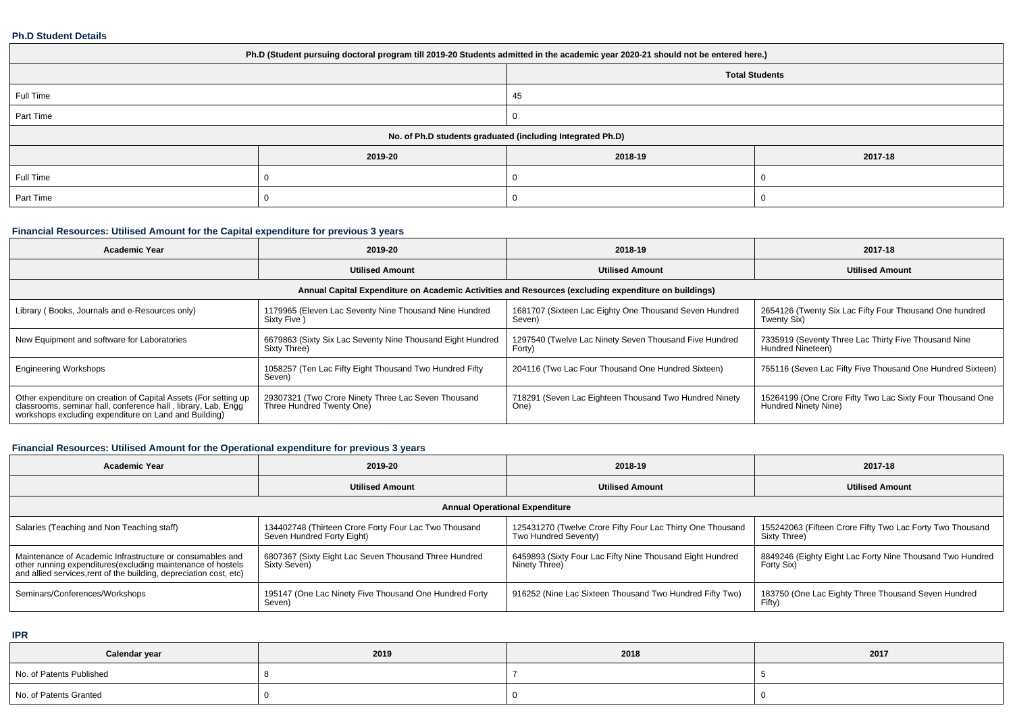### **Ph.D Student Details**

| Ph.D (Student pursuing doctoral program till 2019-20 Students admitted in the academic year 2020-21 should not be entered here.) |                                                            |                       |         |  |  |  |  |
|----------------------------------------------------------------------------------------------------------------------------------|------------------------------------------------------------|-----------------------|---------|--|--|--|--|
|                                                                                                                                  |                                                            | <b>Total Students</b> |         |  |  |  |  |
| Full Time                                                                                                                        |                                                            | 45                    |         |  |  |  |  |
| Part Time                                                                                                                        |                                                            |                       |         |  |  |  |  |
|                                                                                                                                  | No. of Ph.D students graduated (including Integrated Ph.D) |                       |         |  |  |  |  |
|                                                                                                                                  | 2019-20                                                    | 2018-19               | 2017-18 |  |  |  |  |
| Full Time                                                                                                                        |                                                            |                       |         |  |  |  |  |
| Part Time                                                                                                                        |                                                            |                       |         |  |  |  |  |

# **Financial Resources: Utilised Amount for the Capital expenditure for previous 3 years**

| <b>Academic Year</b>                                                                                                                                                                      | 2019-20                                                                          | 2018-19                                                                                              | 2017-18                                                                           |  |
|-------------------------------------------------------------------------------------------------------------------------------------------------------------------------------------------|----------------------------------------------------------------------------------|------------------------------------------------------------------------------------------------------|-----------------------------------------------------------------------------------|--|
|                                                                                                                                                                                           | <b>Utilised Amount</b>                                                           | <b>Utilised Amount</b>                                                                               | <b>Utilised Amount</b>                                                            |  |
|                                                                                                                                                                                           |                                                                                  | Annual Capital Expenditure on Academic Activities and Resources (excluding expenditure on buildings) |                                                                                   |  |
| Library (Books, Journals and e-Resources only)                                                                                                                                            | 1179965 (Eleven Lac Seventy Nine Thousand Nine Hundred<br>Sixty Five)            | 1681707 (Sixteen Lac Eighty One Thousand Seven Hundred<br>Seven)                                     | 2654126 (Twenty Six Lac Fifty Four Thousand One hundred<br>Twenty Six)            |  |
| New Equipment and software for Laboratories                                                                                                                                               | 6679863 (Sixty Six Lac Seventy Nine Thousand Eight Hundred<br>Sixty Three)       | 1297540 (Twelve Lac Ninety Seven Thousand Five Hundred<br>Forty)                                     | 7335919 (Seventy Three Lac Thirty Five Thousand Nine<br>Hundred Nineteen)         |  |
| <b>Engineering Workshops</b>                                                                                                                                                              | 1058257 (Ten Lac Fifty Eight Thousand Two Hundred Fifty<br>Seven)                | 204116 (Two Lac Four Thousand One Hundred Sixteen)                                                   | 755116 (Seven Lac Fifty Five Thousand One Hundred Sixteen)                        |  |
| Other expenditure on creation of Capital Assets (For setting up<br>classrooms, seminar hall, conference hall, library, Lab, Engg<br>workshops excluding expenditure on Land and Building) | 29307321 (Two Crore Ninety Three Lac Seven Thousand<br>Three Hundred Twenty One) | 718291 (Seven Lac Eighteen Thousand Two Hundred Ninety<br>One)                                       | 15264199 (One Crore Fifty Two Lac Sixty Four Thousand One<br>Hundred Ninety Nine) |  |

# **Financial Resources: Utilised Amount for the Operational expenditure for previous 3 years**

| <b>Academic Year</b>                                                                                                                                                                            | 2019-20                                                                             | 2018-19                                                                            | 2017-18                                                                   |  |  |  |  |  |  |
|-------------------------------------------------------------------------------------------------------------------------------------------------------------------------------------------------|-------------------------------------------------------------------------------------|------------------------------------------------------------------------------------|---------------------------------------------------------------------------|--|--|--|--|--|--|
|                                                                                                                                                                                                 | <b>Utilised Amount</b>                                                              | <b>Utilised Amount</b>                                                             | <b>Utilised Amount</b>                                                    |  |  |  |  |  |  |
| <b>Annual Operational Expenditure</b>                                                                                                                                                           |                                                                                     |                                                                                    |                                                                           |  |  |  |  |  |  |
| Salaries (Teaching and Non Teaching staff)                                                                                                                                                      | 134402748 (Thirteen Crore Forty Four Lac Two Thousand<br>Seven Hundred Forty Eight) | 125431270 (Twelve Crore Fifty Four Lac Thirty One Thousand<br>Two Hundred Seventy) | 155242063 (Fifteen Crore Fifty Two Lac Forty Two Thousand<br>Sixty Three) |  |  |  |  |  |  |
| Maintenance of Academic Infrastructure or consumables and<br>other running expenditures (excluding maintenance of hostels<br>and allied services, rent of the building, depreciation cost, etc) | 6807367 (Sixty Eight Lac Seven Thousand Three Hundred<br>Sixty Seven)               | 6459893 (Sixty Four Lac Fifty Nine Thousand Eight Hundred<br>Ninety Three)         | 8849246 (Eighty Eight Lac Forty Nine Thousand Two Hundred<br>Forty Six)   |  |  |  |  |  |  |
| Seminars/Conferences/Workshops                                                                                                                                                                  | 195147 (One Lac Ninety Five Thousand One Hundred Forty<br>Seven)                    | 916252 (Nine Lac Sixteen Thousand Two Hundred Fifty Two)                           | 183750 (One Lac Eighty Three Thousand Seven Hundred<br>Fifty)             |  |  |  |  |  |  |

**IPR**

| Calendar year            | 2019 | 2018 | 2017 |
|--------------------------|------|------|------|
| No. of Patents Published |      |      |      |
| No. of Patents Granted   |      |      |      |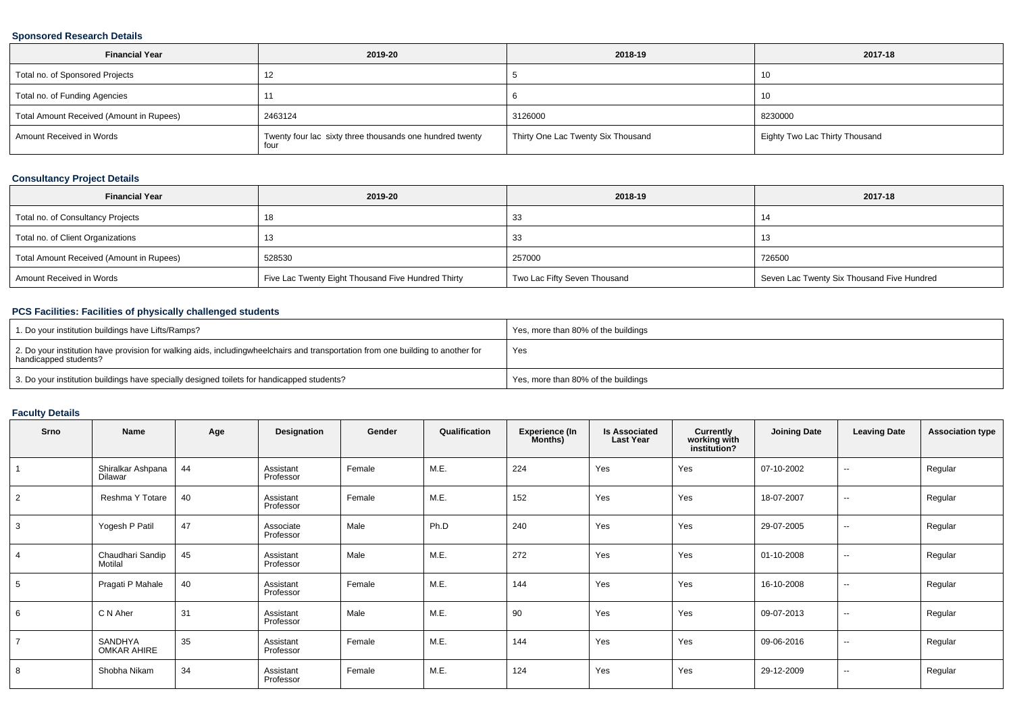### **Sponsored Research Details**

| <b>Financial Year</b>                    | 2019-20                                                          | 2018-19                            | 2017-18                        |
|------------------------------------------|------------------------------------------------------------------|------------------------------------|--------------------------------|
| Total no. of Sponsored Projects          |                                                                  |                                    | -10                            |
| Total no. of Funding Agencies            |                                                                  |                                    | -10                            |
| Total Amount Received (Amount in Rupees) | 2463124                                                          | 3126000                            | 8230000                        |
| Amount Received in Words                 | Twenty four lac sixty three thousands one hundred twenty<br>four | Thirty One Lac Twenty Six Thousand | Eighty Two Lac Thirty Thousand |

## **Consultancy Project Details**

| 2019-20<br><b>Financial Year</b>         |                                                    | 2018-19                      | 2017-18                                    |  |
|------------------------------------------|----------------------------------------------------|------------------------------|--------------------------------------------|--|
| Total no. of Consultancy Projects        | 18                                                 | 33                           |                                            |  |
| Total no. of Client Organizations        | 13                                                 | 33                           |                                            |  |
| Total Amount Received (Amount in Rupees) | 528530                                             | 257000                       | 726500                                     |  |
| Amount Received in Words                 | Five Lac Twenty Eight Thousand Five Hundred Thirty | Two Lac Fifty Seven Thousand | Seven Lac Twenty Six Thousand Five Hundred |  |

## **PCS Facilities: Facilities of physically challenged students**

| 1. Do your institution buildings have Lifts/Ramps?                                                                                                        | Yes, more than 80% of the buildings |
|-----------------------------------------------------------------------------------------------------------------------------------------------------------|-------------------------------------|
| 2. Do your institution have provision for walking aids, includingwheelchairs and transportation from one building to another for<br>handicapped students? | Yes                                 |
| 3. Do your institution buildings have specially designed toilets for handicapped students?                                                                | Yes, more than 80% of the buildings |

## **Faculty Details**

| Srno           | Name                          | Age | Designation            | Gender | Qualification | <b>Experience (In</b><br>Months) | <b>Is Associated</b><br><b>Last Year</b> | Currently<br>working with<br>institution? | <b>Joining Date</b> | <b>Leaving Date</b>      | <b>Association type</b> |
|----------------|-------------------------------|-----|------------------------|--------|---------------|----------------------------------|------------------------------------------|-------------------------------------------|---------------------|--------------------------|-------------------------|
|                | Shiralkar Ashpana<br>Dilawar  | 44  | Assistant<br>Professor | Female | M.E.          | 224                              | Yes                                      | Yes                                       | 07-10-2002          | $\sim$                   | Regular                 |
| $\overline{2}$ | Reshma Y Totare               | 40  | Assistant<br>Professor | Female | M.E.          | 152                              | Yes                                      | Yes                                       | 18-07-2007          | $\sim$                   | Regular                 |
| 3              | Yogesh P Patil                | 47  | Associate<br>Professor | Male   | Ph.D          | 240                              | Yes                                      | Yes                                       | 29-07-2005          | $\overline{\phantom{a}}$ | Regular                 |
| 4              | Chaudhari Sandip<br>Motilal   | 45  | Assistant<br>Professor | Male   | M.E.          | 272                              | Yes                                      | Yes                                       | 01-10-2008          | $\sim$                   | Regular                 |
| 5              | Pragati P Mahale              | 40  | Assistant<br>Professor | Female | M.E.          | 144                              | Yes                                      | Yes                                       | 16-10-2008          | $\sim$                   | Regular                 |
| 6              | C N Aher                      | 31  | Assistant<br>Professor | Male   | M.E.          | 90                               | Yes                                      | Yes                                       | 09-07-2013          | $\sim$                   | Regular                 |
|                | SANDHYA<br><b>OMKAR AHIRE</b> | 35  | Assistant<br>Professor | Female | M.E.          | 144                              | Yes                                      | Yes                                       | 09-06-2016          | $\overline{\phantom{a}}$ | Regular                 |
| 8              | Shobha Nikam                  | 34  | Assistant<br>Professor | Female | M.E.          | 124                              | Yes                                      | Yes                                       | 29-12-2009          | $\sim$                   | Regular                 |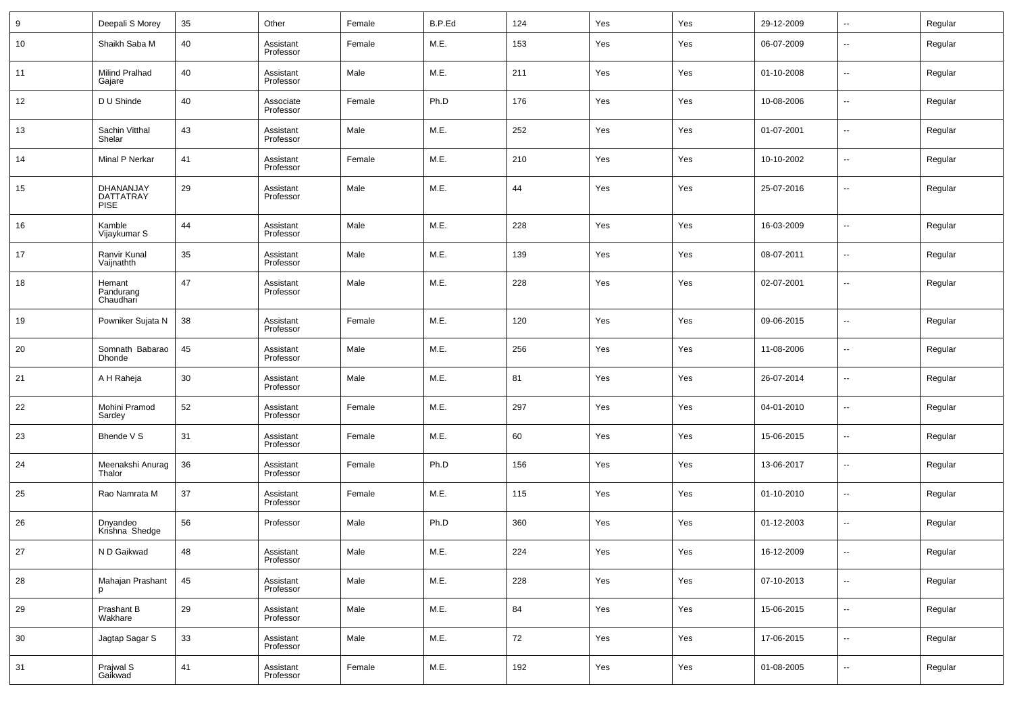| 9  | Deepali S Morey                              | 35 | Other                  | Female | B.P.Ed | 124 | Yes | Yes | 29-12-2009 | ۰.                       | Regular |
|----|----------------------------------------------|----|------------------------|--------|--------|-----|-----|-----|------------|--------------------------|---------|
| 10 | Shaikh Saba M                                | 40 | Assistant<br>Professor | Female | M.E.   | 153 | Yes | Yes | 06-07-2009 | $\overline{\phantom{a}}$ | Regular |
| 11 | Milind Pralhad<br>Gajare                     | 40 | Assistant<br>Professor | Male   | M.E.   | 211 | Yes | Yes | 01-10-2008 | $\overline{\phantom{a}}$ | Regular |
| 12 | D U Shinde                                   | 40 | Associate<br>Professor | Female | Ph.D   | 176 | Yes | Yes | 10-08-2006 | --                       | Regular |
| 13 | Sachin Vitthal<br>Shelar                     | 43 | Assistant<br>Professor | Male   | M.E.   | 252 | Yes | Yes | 01-07-2001 | $\overline{\phantom{a}}$ | Regular |
| 14 | Minal P Nerkar                               | 41 | Assistant<br>Professor | Female | M.E.   | 210 | Yes | Yes | 10-10-2002 | $\overline{\phantom{a}}$ | Regular |
| 15 | DHANANJAY<br><b>DATTATRAY</b><br><b>PISE</b> | 29 | Assistant<br>Professor | Male   | M.E.   | 44  | Yes | Yes | 25-07-2016 | --                       | Regular |
| 16 | Kamble<br>Vijaykumar S                       | 44 | Assistant<br>Professor | Male   | M.E.   | 228 | Yes | Yes | 16-03-2009 | $\overline{\phantom{a}}$ | Regular |
| 17 | Ranvir Kunal<br>Vaijnathth                   | 35 | Assistant<br>Professor | Male   | M.E.   | 139 | Yes | Yes | 08-07-2011 | $\overline{\phantom{a}}$ | Regular |
| 18 | Hemant<br>Pandurang<br>Chaudhari             | 47 | Assistant<br>Professor | Male   | M.E.   | 228 | Yes | Yes | 02-07-2001 | $\overline{\phantom{a}}$ | Regular |
| 19 | Powniker Sujata N                            | 38 | Assistant<br>Professor | Female | M.E.   | 120 | Yes | Yes | 09-06-2015 | $\overline{\phantom{a}}$ | Regular |
| 20 | Somnath Babarao<br><b>Dhonde</b>             | 45 | Assistant<br>Professor | Male   | M.E.   | 256 | Yes | Yes | 11-08-2006 | $\ddotsc$                | Regular |
| 21 | A H Raheja                                   | 30 | Assistant<br>Professor | Male   | M.E.   | 81  | Yes | Yes | 26-07-2014 | $\ddotsc$                | Regular |
| 22 | Mohini Pramod<br>Sardey                      | 52 | Assistant<br>Professor | Female | M.E.   | 297 | Yes | Yes | 04-01-2010 | $\overline{\phantom{a}}$ | Regular |
| 23 | Bhende V S                                   | 31 | Assistant<br>Professor | Female | M.E.   | 60  | Yes | Yes | 15-06-2015 | $\overline{\phantom{a}}$ | Regular |
| 24 | Meenakshi Anurag<br>Thalor                   | 36 | Assistant<br>Professor | Female | Ph.D   | 156 | Yes | Yes | 13-06-2017 | $\ddotsc$                | Regular |
| 25 | Rao Namrata M                                | 37 | Assistant<br>Professor | Female | M.E.   | 115 | Yes | Yes | 01-10-2010 | $\overline{\phantom{a}}$ | Regular |
| 26 | Dnyandeo<br>Krishna Shedge                   | 56 | Professor              | Male   | Ph.D   | 360 | Yes | Yes | 01-12-2003 | $\overline{\phantom{a}}$ | Regular |
| 27 | N D Gaikwad                                  | 48 | Assistant<br>Professor | Male   | M.E.   | 224 | Yes | Yes | 16-12-2009 |                          | Regular |
| 28 | Mahajan Prashant<br>p                        | 45 | Assistant<br>Professor | Male   | M.E.   | 228 | Yes | Yes | 07-10-2013 | $\overline{\phantom{a}}$ | Regular |
| 29 | Prashant B<br>Wakhare                        | 29 | Assistant<br>Professor | Male   | M.E.   | 84  | Yes | Yes | 15-06-2015 | $\overline{\phantom{a}}$ | Regular |
| 30 | Jagtap Sagar S                               | 33 | Assistant<br>Professor | Male   | M.E.   | 72  | Yes | Yes | 17-06-2015 | $\overline{\phantom{a}}$ | Regular |
| 31 | Prajwal S<br>Gaikwad                         | 41 | Assistant<br>Professor | Female | M.E.   | 192 | Yes | Yes | 01-08-2005 | $\overline{\phantom{a}}$ | Regular |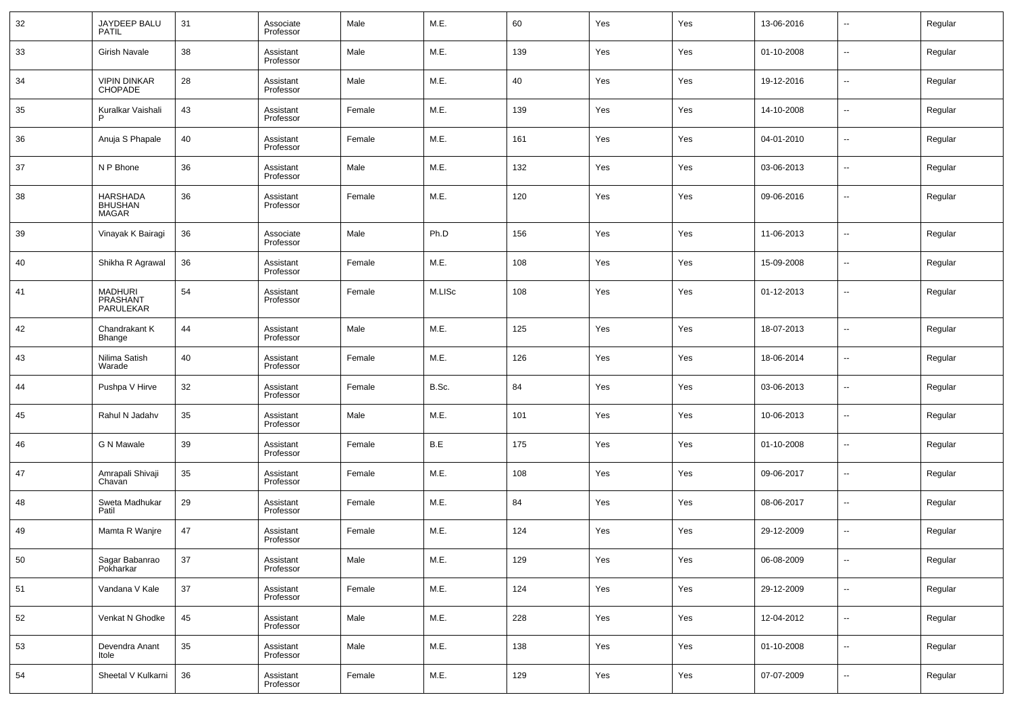| 32 | JAYDEEP BALU<br>PATIL                 | 31 | Associate<br>Professor | Male   | M.E.   | 60  | Yes | Yes | 13-06-2016 | $\overline{\phantom{a}}$ | Regular |
|----|---------------------------------------|----|------------------------|--------|--------|-----|-----|-----|------------|--------------------------|---------|
| 33 | Girish Navale                         | 38 | Assistant<br>Professor | Male   | M.E.   | 139 | Yes | Yes | 01-10-2008 | $\overline{\phantom{a}}$ | Regular |
| 34 | <b>VIPIN DINKAR</b><br><b>CHOPADE</b> | 28 | Assistant<br>Professor | Male   | M.E.   | 40  | Yes | Yes | 19-12-2016 | $\overline{\phantom{a}}$ | Regular |
| 35 | Kuralkar Vaishali                     | 43 | Assistant<br>Professor | Female | M.E.   | 139 | Yes | Yes | 14-10-2008 | ⊷                        | Regular |
| 36 | Anuja S Phapale                       | 40 | Assistant<br>Professor | Female | M.E.   | 161 | Yes | Yes | 04-01-2010 | $\overline{\phantom{a}}$ | Regular |
| 37 | N P Bhone                             | 36 | Assistant<br>Professor | Male   | M.E.   | 132 | Yes | Yes | 03-06-2013 | ⊷                        | Regular |
| 38 | <b>HARSHADA</b><br>BHUSHAN<br>MAGAR   | 36 | Assistant<br>Professor | Female | M.E.   | 120 | Yes | Yes | 09-06-2016 | $\overline{\phantom{a}}$ | Regular |
| 39 | Vinayak K Bairagi                     | 36 | Associate<br>Professor | Male   | Ph.D   | 156 | Yes | Yes | 11-06-2013 | -−                       | Regular |
| 40 | Shikha R Agrawal                      | 36 | Assistant<br>Professor | Female | M.E.   | 108 | Yes | Yes | 15-09-2008 | --                       | Regular |
| 41 | MADHURI<br>PRASHANT<br>PARULEKAR      | 54 | Assistant<br>Professor | Female | M.LISc | 108 | Yes | Yes | 01-12-2013 | -−                       | Regular |
| 42 | Chandrakant K<br>Bhange               | 44 | Assistant<br>Professor | Male   | M.E.   | 125 | Yes | Yes | 18-07-2013 | ⊷                        | Regular |
| 43 | Nilima Satish<br>Warade               | 40 | Assistant<br>Professor | Female | M.E.   | 126 | Yes | Yes | 18-06-2014 | $\overline{\phantom{a}}$ | Regular |
| 44 | Pushpa V Hirve                        | 32 | Assistant<br>Professor | Female | B.Sc.  | 84  | Yes | Yes | 03-06-2013 | ⊷                        | Regular |
| 45 | Rahul N Jadahv                        | 35 | Assistant<br>Professor | Male   | M.E.   | 101 | Yes | Yes | 10-06-2013 | $\overline{\phantom{a}}$ | Regular |
| 46 | G N Mawale                            | 39 | Assistant<br>Professor | Female | B.E    | 175 | Yes | Yes | 01-10-2008 | ⊷                        | Regular |
| 47 | Amrapali Shivaji<br>Chavan            | 35 | Assistant<br>Professor | Female | M.E.   | 108 | Yes | Yes | 09-06-2017 | $\overline{\phantom{a}}$ | Regular |
| 48 | Sweta Madhukar<br>Patil               | 29 | Assistant<br>Professor | Female | M.E.   | 84  | Yes | Yes | 08-06-2017 | ⊷                        | Regular |
| 49 | Mamta R Wanjre                        | 47 | Assistant<br>Professor | Female | M.E.   | 124 | Yes | Yes | 29-12-2009 | --                       | Regular |
| 50 | Sagar Babanrao<br>Pokharkar           | 37 | Assistant<br>Professor | Male   | M.E.   | 129 | Yes | Yes | 06-08-2009 | $\sim$                   | Regular |
| 51 | Vandana V Kale                        | 37 | Assistant<br>Professor | Female | M.E.   | 124 | Yes | Yes | 29-12-2009 | $\sim$                   | Regular |
| 52 | Venkat N Ghodke                       | 45 | Assistant<br>Professor | Male   | M.E.   | 228 | Yes | Yes | 12-04-2012 | $\sim$                   | Regular |
| 53 | Devendra Anant<br>Itole               | 35 | Assistant<br>Professor | Male   | M.E.   | 138 | Yes | Yes | 01-10-2008 | $\sim$                   | Regular |
| 54 | Sheetal V Kulkarni                    | 36 | Assistant<br>Professor | Female | M.E.   | 129 | Yes | Yes | 07-07-2009 | ⊷                        | Regular |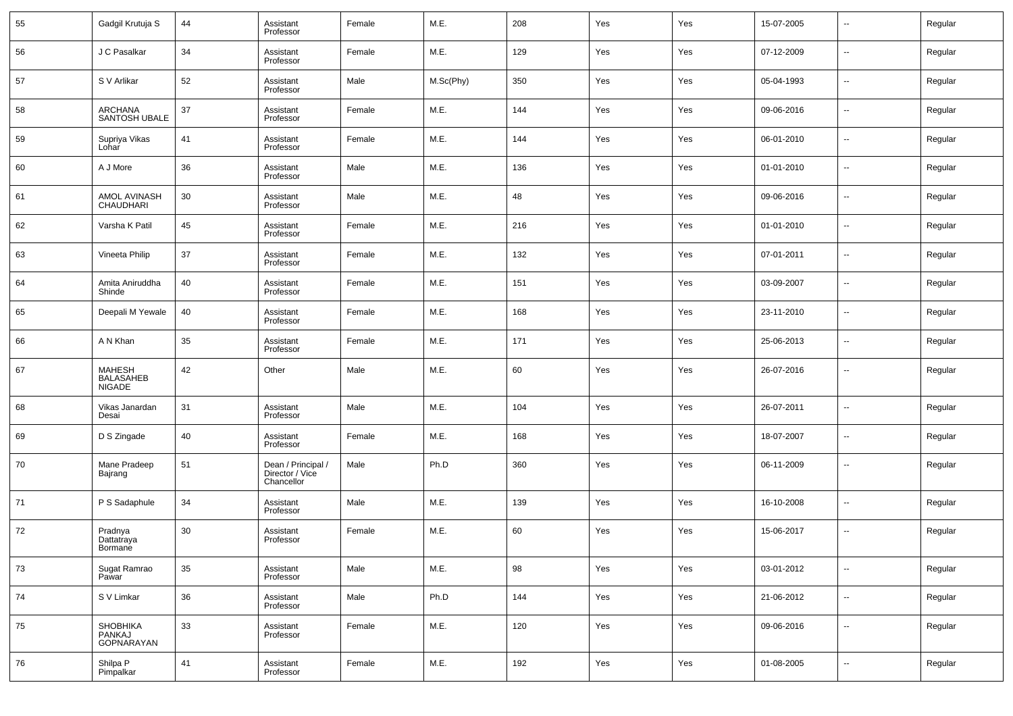| 55 | Gadgil Krutuja S                                   | 44 | Assistant<br>Professor                              | Female | M.E.      | 208 | Yes | Yes | 15-07-2005 | --     | Regular |
|----|----------------------------------------------------|----|-----------------------------------------------------|--------|-----------|-----|-----|-----|------------|--------|---------|
| 56 | J C Pasalkar                                       | 34 | Assistant<br>Professor                              | Female | M.E.      | 129 | Yes | Yes | 07-12-2009 | --     | Regular |
| 57 | S V Arlikar                                        | 52 | Assistant<br>Professor                              | Male   | M.Sc(Phy) | 350 | Yes | Yes | 05-04-1993 | --     | Regular |
| 58 | ARCHANA<br>SANTOSH UBALE                           | 37 | Assistant<br>Professor                              | Female | M.E.      | 144 | Yes | Yes | 09-06-2016 | $\sim$ | Regular |
| 59 | Supriya Vikas<br>Lohar                             | 41 | Assistant<br>Professor                              | Female | M.E.      | 144 | Yes | Yes | 06-01-2010 | $\sim$ | Regular |
| 60 | A J More                                           | 36 | Assistant<br>Professor                              | Male   | M.E.      | 136 | Yes | Yes | 01-01-2010 | $\sim$ | Regular |
| 61 | AMOL AVINASH<br>CHAUDHARI                          | 30 | Assistant<br>Professor                              | Male   | M.E.      | 48  | Yes | Yes | 09-06-2016 | --     | Regular |
| 62 | Varsha K Patil                                     | 45 | Assistant<br>Professor                              | Female | M.E.      | 216 | Yes | Yes | 01-01-2010 | $\sim$ | Regular |
| 63 | Vineeta Philip                                     | 37 | Assistant<br>Professor                              | Female | M.E.      | 132 | Yes | Yes | 07-01-2011 | --     | Regular |
| 64 | Amita Aniruddha<br>Shinde                          | 40 | Assistant<br>Professor                              | Female | M.E.      | 151 | Yes | Yes | 03-09-2007 | --     | Regular |
| 65 | Deepali M Yewale                                   | 40 | Assistant<br>Professor                              | Female | M.E.      | 168 | Yes | Yes | 23-11-2010 | --     | Regular |
| 66 | A N Khan                                           | 35 | Assistant<br>Professor                              | Female | M.E.      | 171 | Yes | Yes | 25-06-2013 | --     | Regular |
| 67 | <b>MAHESH</b><br><b>BALASAHEB</b><br><b>NIGADE</b> | 42 | Other                                               | Male   | M.E.      | 60  | Yes | Yes | 26-07-2016 | --     | Regular |
| 68 | Vikas Janardan<br>Desai                            | 31 | Assistant<br>Professor                              | Male   | M.E.      | 104 | Yes | Yes | 26-07-2011 | н.     | Regular |
| 69 | D S Zingade                                        | 40 | Assistant<br>Professor                              | Female | M.E.      | 168 | Yes | Yes | 18-07-2007 | ш,     | Regular |
| 70 | Mane Pradeep<br>Bajrang                            | 51 | Dean / Principal /<br>Director / Vice<br>Chancellor | Male   | Ph.D      | 360 | Yes | Yes | 06-11-2009 | --     | Regular |
| 71 | P S Sadaphule                                      | 34 | Assistant<br>Professor                              | Male   | M.E.      | 139 | Yes | Yes | 16-10-2008 | --     | Regular |
| 72 | Pradnya<br>Dattatraya<br>Bormane                   | 30 | Assistant<br>Professor                              | Female | M.E.      | 60  | Yes | Yes | 15-06-2017 | --     | Regular |
| 73 | Sugat Ramrao<br>Pawar                              | 35 | Assistant<br>Professor                              | Male   | M.E.      | 98  | Yes | Yes | 03-01-2012 | --     | Regular |
| 74 | S V Limkar                                         | 36 | Assistant<br>Professor                              | Male   | Ph.D      | 144 | Yes | Yes | 21-06-2012 | $\sim$ | Regular |
| 75 | SHOBHIKA<br>PANKAJ<br>GOPNARAYAN                   | 33 | Assistant<br>Professor                              | Female | M.E.      | 120 | Yes | Yes | 09-06-2016 | $\sim$ | Regular |
| 76 | Shilpa P<br>Pimpalkar                              | 41 | Assistant<br>Professor                              | Female | M.E.      | 192 | Yes | Yes | 01-08-2005 | $\sim$ | Regular |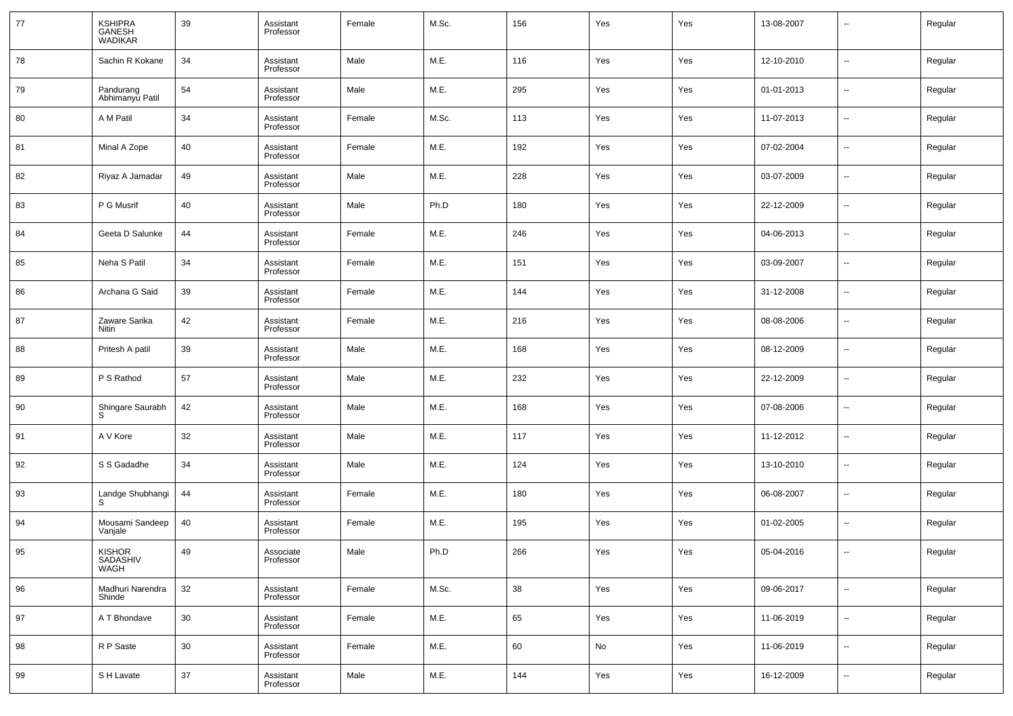| 77 | KSHIPRA<br>GANESH<br>WADIKAR  | 39     | Assistant<br>Professor | Female | M.Sc. | 156 | Yes                          | Yes | 13-08-2007 | --                       | Regular |
|----|-------------------------------|--------|------------------------|--------|-------|-----|------------------------------|-----|------------|--------------------------|---------|
| 78 | Sachin R Kokane               | 34     | Assistant<br>Professor | Male   | M.E.  | 116 | Yes                          | Yes | 12-10-2010 | ш,                       | Regular |
| 79 | Pandurang<br>Abhimanyu Patil  | 54     | Assistant<br>Professor | Male   | M.E.  | 295 | Yes                          | Yes | 01-01-2013 | ш,                       | Regular |
| 80 | A M Patil                     | 34     | Assistant<br>Professor | Female | M.Sc. | 113 | Yes                          | Yes | 11-07-2013 | ш,                       | Regular |
| 81 | Minal A Zope                  | 40     | Assistant<br>Professor | Female | M.E.  | 192 | Yes                          | Yes | 07-02-2004 | ш,                       | Regular |
| 82 | Riyaz A Jamadar               | 49     | Assistant<br>Professor | Male   | M.E.  | 228 | Yes                          | Yes | 03-07-2009 | ш,                       | Regular |
| 83 | P G Musrif                    | 40     | Assistant<br>Professor | Male   | Ph.D  | 180 | Yes                          | Yes | 22-12-2009 | ш,                       | Regular |
| 84 | Geeta D Salunke               | 44     | Assistant<br>Professor | Female | M.E.  | 246 | Yes                          | Yes | 04-06-2013 | ш,                       | Regular |
| 85 | Neha S Patil                  | 34     | Assistant<br>Professor | Female | M.E.  | 151 | Yes                          | Yes | 03-09-2007 | ш,                       | Regular |
| 86 | Archana G Said                | 39     | Assistant<br>Professor | Female | M.E.  | 144 | Yes                          | Yes | 31-12-2008 | ш,                       | Regular |
| 87 | Zaware Sarika<br><b>Nitin</b> | 42     | Assistant<br>Professor | Female | M.E.  | 216 | Yes                          | Yes | 08-08-2006 | н.                       | Regular |
| 88 | Pritesh A patil               | 39     | Assistant<br>Professor | Male   | M.E.  | 168 | Yes                          | Yes | 08-12-2009 | ш,                       | Regular |
| 89 | P S Rathod                    | 57     | Assistant<br>Professor | Male   | M.E.  | 232 | Yes                          | Yes | 22-12-2009 | ш,                       | Regular |
| 90 | Shingare Saurabh<br>S         | 42     | Assistant<br>Professor | Male   | M.E.  | 168 | Yes                          | Yes | 07-08-2006 | н.                       | Regular |
| 91 | A V Kore                      | 32     | Assistant<br>Professor | Male   | M.E.  | 117 | Yes                          | Yes | 11-12-2012 | ш,                       | Regular |
| 92 | S S Gadadhe                   | 34     | Assistant<br>Professor | Male   | M.E.  | 124 | Yes                          | Yes | 13-10-2010 | н.                       | Regular |
| 93 | Landge Shubhangi<br>S         | 44     | Assistant<br>Professor | Female | M.E.  | 180 | Yes                          | Yes | 06-08-2007 | ш,                       | Regular |
| 94 | Mousami Sandeep<br>Vanjale    | 40     | Assistant<br>Professor | Female | M.E.  | 195 | Yes                          | Yes | 01-02-2005 | н.                       | Regular |
| 95 | KISHOR<br>SADASHIV<br>WAGH    | 49     | Associate<br>Professor | Male   | Ph.D  | 266 | Yes                          | Yes | 05-04-2016 |                          | Regular |
| 96 | Madhuri Narendra<br>Shinde    | 32     | Assistant<br>Professor | Female | M.Sc. | 38  | Yes                          | Yes | 09-06-2017 | ш,                       | Regular |
| 97 | A T Bhondave                  | 30     | Assistant<br>Professor | Female | M.E.  | 65  | Yes                          | Yes | 11-06-2019 | $\overline{\phantom{a}}$ | Regular |
| 98 | R P Saste                     | $30\,$ | Assistant<br>Professor | Female | M.E.  | 60  | $\operatorname{\mathsf{No}}$ | Yes | 11-06-2019 | ш,                       | Regular |
| 99 | S H Lavate                    | $37\,$ | Assistant<br>Professor | Male   | M.E.  | 144 | Yes                          | Yes | 16-12-2009 | $\overline{\phantom{a}}$ | Regular |